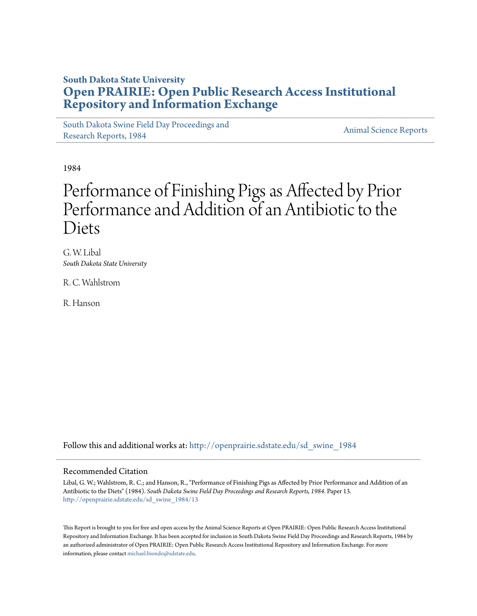# **South Dakota State University [Open PRAIRIE: Open Public Research Access Institutional](http://openprairie.sdstate.edu?utm_source=openprairie.sdstate.edu%2Fsd_swine_1984%2F13&utm_medium=PDF&utm_campaign=PDFCoverPages) [Repository and Information Exchange](http://openprairie.sdstate.edu?utm_source=openprairie.sdstate.edu%2Fsd_swine_1984%2F13&utm_medium=PDF&utm_campaign=PDFCoverPages)**

[South Dakota Swine Field Day Proceedings and](http://openprairie.sdstate.edu/sd_swine_1984?utm_source=openprairie.sdstate.edu%2Fsd_swine_1984%2F13&utm_medium=PDF&utm_campaign=PDFCoverPages) [Research Reports, 1984](http://openprairie.sdstate.edu/sd_swine_1984?utm_source=openprairie.sdstate.edu%2Fsd_swine_1984%2F13&utm_medium=PDF&utm_campaign=PDFCoverPages)<br>Research Reports, 1984

1984

# Performance of Finishing Pigs as Affected by Prior Performance and Addition of an Antibiotic to the Diets

G. W. Libal *South Dakota State University*

R. C. Wahlstrom

R. Hanson

Follow this and additional works at: [http://openprairie.sdstate.edu/sd\\_swine\\_1984](http://openprairie.sdstate.edu/sd_swine_1984?utm_source=openprairie.sdstate.edu%2Fsd_swine_1984%2F13&utm_medium=PDF&utm_campaign=PDFCoverPages)

#### Recommended Citation

Libal, G. W.; Wahlstrom, R. C.; and Hanson, R., "Performance of Finishing Pigs as Affected by Prior Performance and Addition of an Antibiotic to the Diets" (1984). *South Dakota Swine Field Day Proceedings and Research Reports, 1984.* Paper 13. [http://openprairie.sdstate.edu/sd\\_swine\\_1984/13](http://openprairie.sdstate.edu/sd_swine_1984/13?utm_source=openprairie.sdstate.edu%2Fsd_swine_1984%2F13&utm_medium=PDF&utm_campaign=PDFCoverPages)

This Report is brought to you for free and open access by the Animal Science Reports at Open PRAIRIE: Open Public Research Access Institutional Repository and Information Exchange. It has been accepted for inclusion in South Dakota Swine Field Day Proceedings and Research Reports, 1984 by an authorized administrator of Open PRAIRIE: Open Public Research Access Institutional Repository and Information Exchange. For more information, please contact [michael.biondo@sdstate.edu](mailto:michael.biondo@sdstate.edu).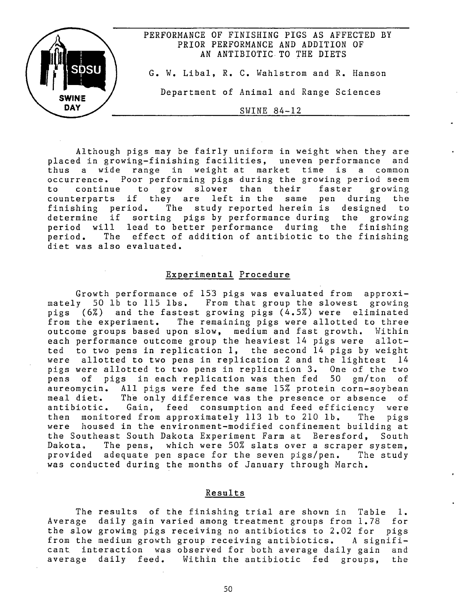

Although pigs may be fairly uniform in weight when they are placed in growing-finishing facilities, uneven performance and thus a wide range in weight at market time is a common occurrence. Poor performing pigs during the growing period seem to continue to grow slower than their faster growing counterparts if they are left in the same pen during the<br>finishing period. The study reported herein is designed to The study reported herein is designed to determine if sorting pigs by performance during the growing period will lead to better performance during the finishing period. The effect of addition of antibiotic to the finishing diet was also evaluated.

## Experimental Procedure

Growth performance of 153 pigs was evaluated from approximately 50 lb to 115 lbs. From that group the slowest growing pigs (6%) and the fastest growing pigs (4.5%) were eliminated from the experiment. The remaining pigs were allotted to three outcome groups based upon slow, medium and fast growth. Within each performance outcome group the heaviest 14 pigs were allotted to two pens in replication 1, the second 14 pigs by weight were allotted to two pens in replication 2 and the lightest 14 pigs were allotted to two pens in replication 3. One of the two pens of pigs in each replication was then fed 50 gm/ton of aureomycin. All pigs were fed the same 15% protein corn-soybean meal diet. The only difference was the presence or absence of<br>antibiotic. Gain. feed consumption and feed efficiency were Gain, feed consumption and feed efficiency were then monitored from approximately 113 lb to 210 lb. The pigs were housed in the environment-modified confinement building at the Southeast South Dakota Experiment Farm at Beresford, South Dakota. The pens, which were 50% slats over a scraper system, provided adequate pen space for the seven pigs/pen. The study was conducted during the months of January through March.

### Results

The results of the finishing trial are shown in Table 1. Average daily gain varied among treatment groups from 1.78 for the slow growing pigs receiving no antibiotics to 2.02 for pigs from the medium growth group receiving antibiotics. *A* significant interaction was observed for both average daily gain and average daily feed. Within the antibiotic fed groups, the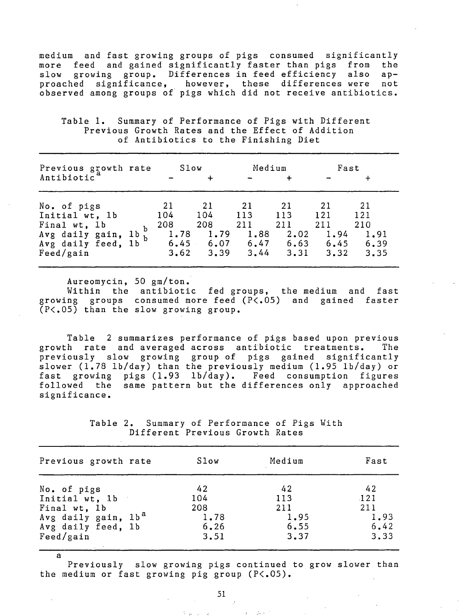medium and fast growing groups of pigs consumed significantly feed and gained significantly faster than pigs from slow growing group. Differences in feed efficiency also approached significance, however, these differences were not observed among groups of· pigs which did not receive antibiotics.

Table 1. Summary of Performance of Pigs with Different Previous Growth Rates and the Effect of Addition of Antibiotics to the Finishing Diet

| Previous growth rate<br>Antibiotic                                                                               | Slow                                     |                                  | Medium                                                                 | $\ddot{}$                         | Fast                              |                                  |
|------------------------------------------------------------------------------------------------------------------|------------------------------------------|----------------------------------|------------------------------------------------------------------------|-----------------------------------|-----------------------------------|----------------------------------|
| No. of pigs<br>Initial wt, 1b<br>Final wt, 1b<br>Avg daily gain, $1b_{h}^{2}$<br>Avg daily feed, 1b<br>Feed/gain | 21<br>104<br>208<br>1.78<br>6.45<br>3.62 | 21<br>104<br>208<br>1.79<br>3.39 | 21<br>113<br>211<br>1.88<br>$6.07$ $6.47$ $6.63$ $6.45$ $6.39$<br>3.44 | -21<br>113<br>211<br>2.02<br>3.31 | -21<br>121<br>211<br>1,94<br>3.32 | 21<br>121<br>210<br>1,91<br>3.35 |

Aureomycin, 50 gm/ton.

Within the antibiotic fed groups, the medium and fast growing groups consumed more feed (P<.05) and gained faster (P<.05) than the slow growing group.

Table 2 summarizes performance of pigs based upon previous growth rate and averaged across antibiotic treatments. previously slow growing group of pigs gained significantly slower (1.78 lb/day) than the previously medium (1.95 lb/day) or fast growing pigs (1.93 lb/day). Feed consumption figures followed the same pattern but the differences only approached significance.

> Table 2. Summary of Performance of Pigs With Different Previous Growth Rates

| Previous growth rate            | Slow | Medium | Fast |
|---------------------------------|------|--------|------|
| No. of pigs                     | 42   | 42     | 42   |
| Initial wt, 1b                  | 104  | 113    | 121  |
| Final wt, 1b                    | 208  | 211    | 211  |
| Avg daily gain, lb <sup>a</sup> | 1.78 | 1.95   | 1.93 |
| Avg daily feed, 1b              | 6.26 | 6.55   | 6.42 |
| Feed/gain                       | 3.51 | 3.37   | 3.33 |

a Previously slow growing pigs continued to grow slower than the medium or fast growing pig group (P<.05).

 $1 - 1 + 1 = 1$